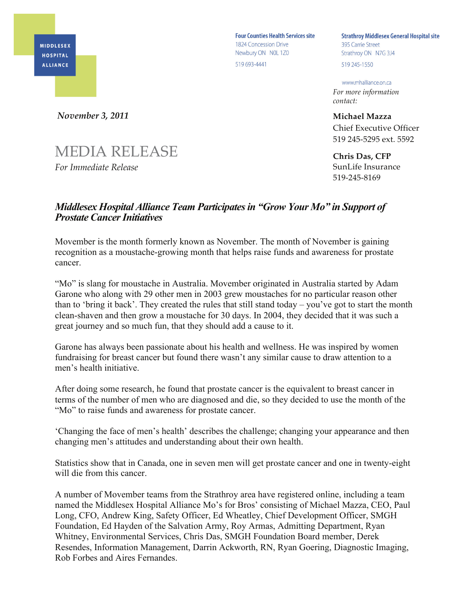**MIDDLESEX HOSPITAL ALLIANCE** 

**Four Counties Health Services site** 1824 Concession Drive Newbury ON NOL 1Z0 519 693-4441

**Strathroy Middlesex General Hospital site** 395 Carrie Street Strathroy ON N7G 3J4 519 245-1550

www.mhalliance.on.ca

*For more information contact:*

**Michael Mazza** Chief Executive Officer 519 245-5295 ext. 5592

**Chris Das, CFP** SunLife Insurance 519-245-8169

## *Middlesex Hospital Alliance Team Participates in "Grow Your Mo" in Support of Prostate Cancer Initiatives*

Movember is the month formerly known as November. The month of November is gaining recognition as a moustache-growing month that helps raise funds and awareness for prostate cancer.

"Mo" is slang for moustache in Australia. Movember originated in Australia started by Adam Garone who along with 29 other men in 2003 grew moustaches for no particular reason other than to 'bring it back'. They created the rules that still stand today – you've got to start the month clean-shaven and then grow a moustache for 30 days. In 2004, they decided that it was such a great journey and so much fun, that they should add a cause to it.

Garone has always been passionate about his health and wellness. He was inspired by women fundraising for breast cancer but found there wasn't any similar cause to draw attention to a men's health initiative.

After doing some research, he found that prostate cancer is the equivalent to breast cancer in terms of the number of men who are diagnosed and die, so they decided to use the month of the "Mo" to raise funds and awareness for prostate cancer.

'Changing the face of men's health' describes the challenge; changing your appearance and then changing men's attitudes and understanding about their own health.

Statistics show that in Canada, one in seven men will get prostate cancer and one in twenty-eight will die from this cancer.

A number of Movember teams from the Strathroy area have registered online, including a team named the Middlesex Hospital Alliance Mo's for Bros' consisting of Michael Mazza, CEO, Paul Long, CFO, Andrew King, Safety Officer, Ed Wheatley, Chief Development Officer, SMGH Foundation, Ed Hayden of the Salvation Army, Roy Armas, Admitting Department, Ryan Whitney, Environmental Services, Chris Das, SMGH Foundation Board member, Derek Resendes, Information Management, Darrin Ackworth, RN, Ryan Goering, Diagnostic Imaging, Rob Forbes and Aires Fernandes.

*November 3, 2011*

*For Immediate Release*

MEDIA RELEASE